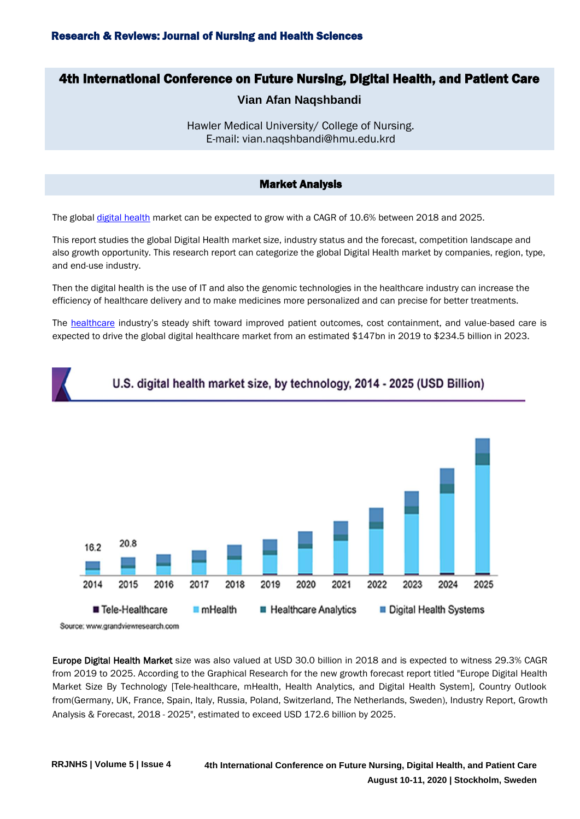# 4th International Conference on Future Nursing, Digital Health, and Patient Care

# **Vian Afan Naqshbandi**

Hawler Medical University/ College of Nursing. E-mail: vian.naqshbandi@hmu.edu.krd

## Market Analysis

The globa[l digital health](https://nursingscience.nursingconference.com/) market can be expected to grow with a CAGR of 10.6% between 2018 and 2025.

This report studies the global Digital Health market size, industry status and the forecast, competition landscape and also growth opportunity. This research report can categorize the global Digital Health market by companies, region, type, and end-use industry.

Then the digital health is the use of IT and also the genomic technologies in the healthcare industry can increase the efficiency of healthcare delivery and to make medicines more personalized and can precise for better treatments.

The [healthcare](https://nursingscience.nursingconference.com/abstract-submission.php) industry's steady shift toward improved patient outcomes, cost containment, and value-based care is expected to drive the global digital healthcare market from an estimated \$147bn in 2019 to \$234.5 billion in 2023.



# U.S. digital health market size, by technology, 2014 - 2025 (USD Billion)

Europe Digital Health Market size was also valued at USD 30.0 billion in 2018 and is expected to witness 29.3% CAGR from 2019 to 2025. According to the Graphical Research for the new growth forecast report titled "Europe Digital Health Market Size By Technology [Tele-healthcare, mHealth, Health Analytics, and Digital Health System], Country Outlook from(Germany, UK, France, Spain, Italy, Russia, Poland, Switzerland, The Netherlands, Sweden), Industry Report, Growth Analysis & Forecast, 2018 - 2025", estimated to exceed USD 172.6 billion by 2025.